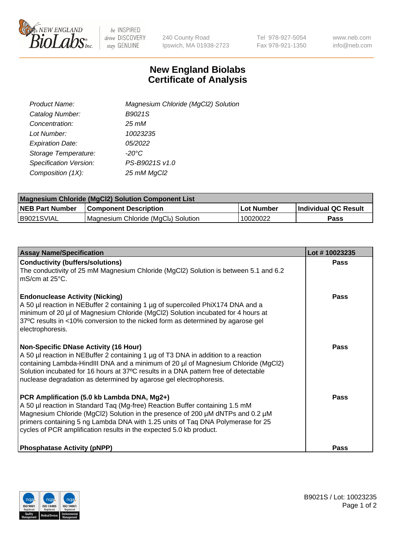

 $be$  INSPIRED drive DISCOVERY stay GENUINE

240 County Road Ipswich, MA 01938-2723 Tel 978-927-5054 Fax 978-921-1350 www.neb.com info@neb.com

## **New England Biolabs Certificate of Analysis**

| Product Name:           | Magnesium Chloride (MgCl2) Solution |
|-------------------------|-------------------------------------|
| Catalog Number:         | B9021S                              |
| Concentration:          | 25 mM                               |
| Lot Number:             | 10023235                            |
| <b>Expiration Date:</b> | 05/2022                             |
| Storage Temperature:    | $-20^{\circ}$ C                     |
| Specification Version:  | PS-B9021S v1.0                      |
| Composition (1X):       | 25 mM MgCl2                         |

| <b>Magnesium Chloride (MgCl2) Solution Component List</b> |                                     |            |                      |  |  |
|-----------------------------------------------------------|-------------------------------------|------------|----------------------|--|--|
| <b>NEB Part Number</b>                                    | <b>Component Description</b>        | Lot Number | Individual QC Result |  |  |
| B9021SVIAL                                                | Magnesium Chloride (MgCl2) Solution | 10020022   | Pass                 |  |  |

| <b>Assay Name/Specification</b>                                                                                                                                                                                                                                                                                                                                                       | Lot #10023235 |
|---------------------------------------------------------------------------------------------------------------------------------------------------------------------------------------------------------------------------------------------------------------------------------------------------------------------------------------------------------------------------------------|---------------|
| <b>Conductivity (buffers/solutions)</b><br>The conductivity of 25 mM Magnesium Chloride (MgCl2) Solution is between 5.1 and 6.2<br>l mS/cm at 25°C.                                                                                                                                                                                                                                   | <b>Pass</b>   |
| <b>Endonuclease Activity (Nicking)</b><br>A 50 µl reaction in NEBuffer 2 containing 1 µg of supercoiled PhiX174 DNA and a<br>minimum of 20 µl of Magnesium Chloride (MgCl2) Solution incubated for 4 hours at<br>37°C results in <10% conversion to the nicked form as determined by agarose gel<br>electrophoresis.                                                                  | <b>Pass</b>   |
| <b>Non-Specific DNase Activity (16 Hour)</b><br>A 50 µl reaction in NEBuffer 2 containing 1 µg of T3 DNA in addition to a reaction<br>containing Lambda-HindIII DNA and a minimum of 20 µl of Magnesium Chloride (MgCl2)<br>Solution incubated for 16 hours at 37°C results in a DNA pattern free of detectable<br>nuclease degradation as determined by agarose gel electrophoresis. | <b>Pass</b>   |
| PCR Amplification (5.0 kb Lambda DNA, Mg2+)<br>A 50 µl reaction in Standard Taq (Mg-free) Reaction Buffer containing 1.5 mM<br>Magnesium Chloride (MgCl2) Solution in the presence of 200 µM dNTPs and 0.2 µM<br>primers containing 5 ng Lambda DNA with 1.25 units of Taq DNA Polymerase for 25<br>cycles of PCR amplification results in the expected 5.0 kb product.               | Pass          |
| <b>Phosphatase Activity (pNPP)</b>                                                                                                                                                                                                                                                                                                                                                    | Pass          |